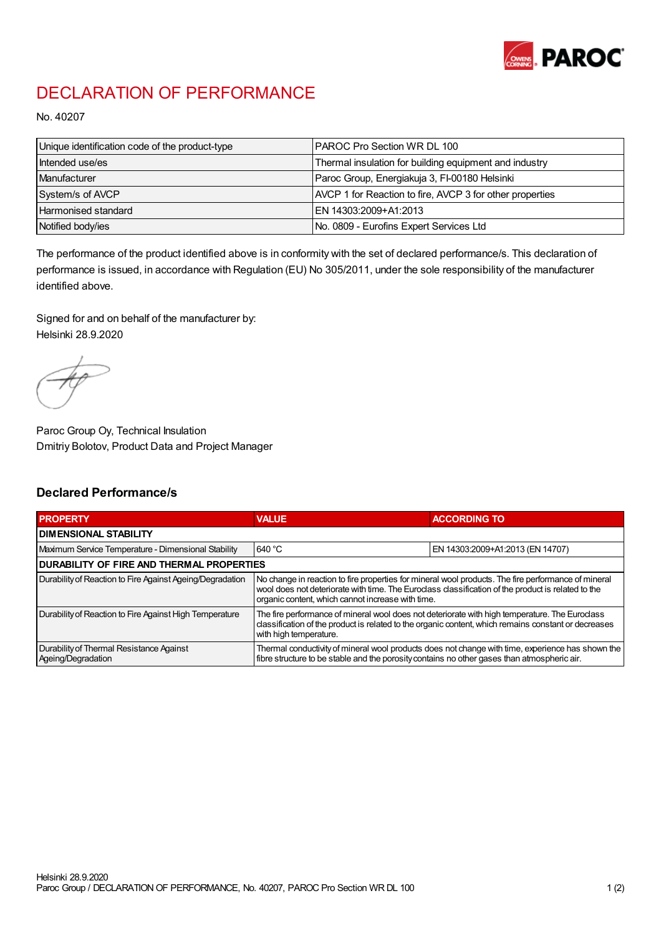

## DECLARATION OF PERFORMANCE

No. 40207

| Unique identification code of the product-type | IPAROC Pro Section WR DL 100                             |
|------------------------------------------------|----------------------------------------------------------|
| Intended use/es                                | Thermal insulation for building equipment and industry   |
| Manufacturer                                   | Paroc Group, Energiakuja 3, FI-00180 Helsinki            |
| System/s of AVCP                               | AVCP 1 for Reaction to fire, AVCP 3 for other properties |
| Harmonised standard                            | IEN 14303:2009+A1:2013                                   |
| Notified body/ies                              | No. 0809 - Eurofins Expert Services Ltd                  |

The performance of the product identified above is in conformity with the set of declared performance/s. This declaration of performance is issued, in accordance with Regulation (EU) No 305/2011, under the sole responsibility of the manufacturer identified above.

Signed for and on behalf of the manufacturer by: Helsinki 28.9.2020

Paroc Group Oy, Technical Insulation Dmitriy Bolotov, Product Data and Project Manager

## Declared Performance/s

| <b>PROPERTY</b>                                                | <b>VALUE</b>                                                                                                                                                                                                                                                   | <b>ACCORDING TO</b>              |  |
|----------------------------------------------------------------|----------------------------------------------------------------------------------------------------------------------------------------------------------------------------------------------------------------------------------------------------------------|----------------------------------|--|
| <b>DIMENSIONAL STABILITY</b>                                   |                                                                                                                                                                                                                                                                |                                  |  |
| Maximum Service Temperature - Dimensional Stability            | 640 °C                                                                                                                                                                                                                                                         | EN 14303:2009+A1:2013 (EN 14707) |  |
| <b>DURABILITY OF FIRE AND THERMAL PROPERTIES</b>               |                                                                                                                                                                                                                                                                |                                  |  |
| Durability of Reaction to Fire Against Ageing/Degradation      | No change in reaction to fire properties for mineral wool products. The fire performance of mineral<br>wool does not deteriorate with time. The Euroclass classification of the product is related to the<br>organic content, which cannot increase with time. |                                  |  |
| Durability of Reaction to Fire Against High Temperature        | The fire performance of mineral wool does not deteriorate with high temperature. The Euroclass<br>classification of the product is related to the organic content, which remains constant or decreases<br>with high temperature.                               |                                  |  |
| Durability of Thermal Resistance Against<br>Ageing/Degradation | Thermal conductivity of mineral wool products does not change with time, experience has shown the<br>fibre structure to be stable and the porosity contains no other gases than atmospheric air.                                                               |                                  |  |